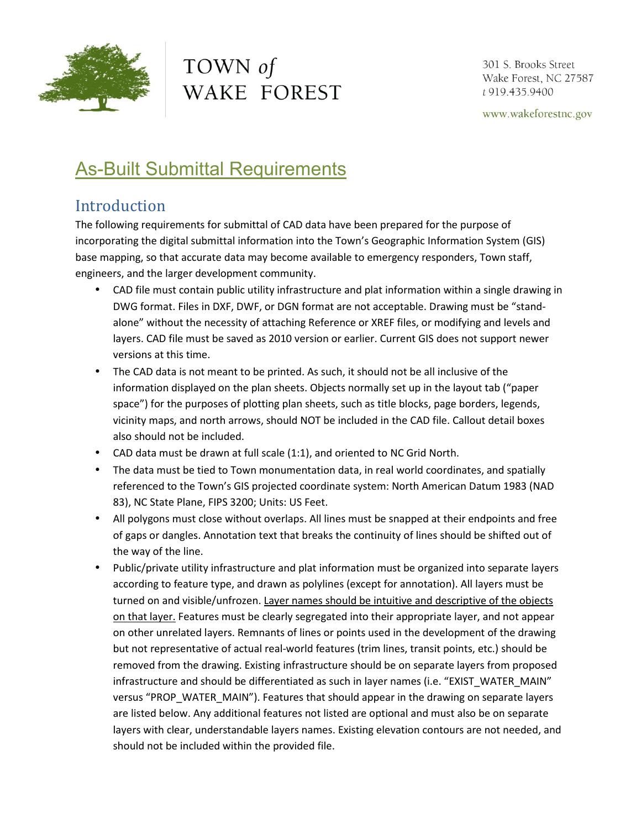

# TOWN of WAKE FOREST

301 S. Brooks Street Wake Forest, NC 27587 t 919.435.9400

www.wakeforestnc.gov

## **As-Built Submittal Requirements**

### Introduction

The following requirements for submittal of CAD data have been prepared for the purpose of incorporating the digital submittal information into the Town's Geographic Information System (GIS) base mapping, so that accurate data may become available to emergency responders, Town staff, engineers, and the larger development community.

- CAD file must contain public utility infrastructure and plat information within a single drawing in DWG format. Files in DXF, DWF, or DGN format are not acceptable. Drawing must be "standalone" without the necessity of attaching Reference or XREF files, or modifying and levels and layers. CAD file must be saved as 2010 version or earlier. Current GIS does not support newer versions at this time.
- The CAD data is not meant to be printed. As such, it should not be all inclusive of the information displayed on the plan sheets. Objects normally set up in the layout tab ("paper space") for the purposes of plotting plan sheets, such as title blocks, page borders, legends, vicinity maps, and north arrows, should NOT be included in the CAD file. Callout detail boxes also should not be included.
- CAD data must be drawn at full scale (1:1), and oriented to NC Grid North.
- The data must be tied to Town monumentation data, in real world coordinates, and spatially referenced to the Town's GIS projected coordinate system: North American Datum 1983 (NAD 83), NC State Plane, FIPS 3200; Units: US Feet.
- All polygons must close without overlaps. All lines must be snapped at their endpoints and free of gaps or dangles. Annotation text that breaks the continuity of lines should be shifted out of the way of the line.
- Public/private utility infrastructure and plat information must be organized into separate layers according to feature type, and drawn as polylines (except for annotation). All layers must be turned on and visible/unfrozen. Layer names should be intuitive and descriptive of the objects on that layer. Features must be clearly segregated into their appropriate layer, and not appear on other unrelated layers. Remnants of lines or points used in the development of the drawing but not representative of actual real-world features (trim lines, transit points, etc.) should be removed from the drawing. Existing infrastructure should be on separate layers from proposed infrastructure and should be differentiated as such in layer names (i.e. "EXIST\_WATER\_MAIN" versus "PROP\_WATER\_MAIN"). Features that should appear in the drawing on separate layers are listed below. Any additional features not listed are optional and must also be on separate layers with clear, understandable layers names. Existing elevation contours are not needed, and should not be included within the provided file.